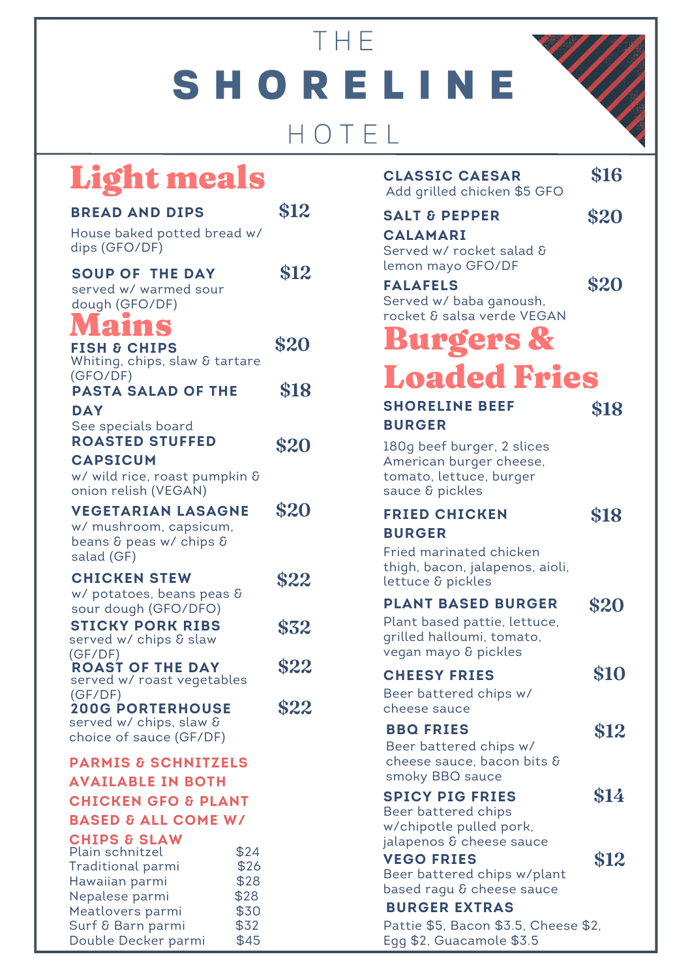## THE SHORELINE HOTEL

## Light meals

| House baked potted bread w/<br>dips (GFO/DF)                                                                                                                                                        |                      | <b>CALAMARI</b><br>Served w/ rocket salad &                                                                                                                                                                              |  |  |
|-----------------------------------------------------------------------------------------------------------------------------------------------------------------------------------------------------|----------------------|--------------------------------------------------------------------------------------------------------------------------------------------------------------------------------------------------------------------------|--|--|
| <b>SOUP OF THE DAY</b><br>served w/ warmed sour<br>dough (GFO/DF)<br>lamns                                                                                                                          | \$12                 | lemon mayo GFO/DF<br><b>FALAFELS</b><br>Served w/ baba ganoush,<br>rocket & salsa verde VEGAN                                                                                                                            |  |  |
| <b>FISH &amp; CHIPS</b><br>Whiting, chips, slaw & tartare                                                                                                                                           | \$20                 | <b>Burgers &amp;</b>                                                                                                                                                                                                     |  |  |
| (GFO/DF)<br><b>PASTA SALAD OF THE</b><br><b>DAY</b>                                                                                                                                                 | \$18                 | <b>Loaded Fri</b><br><b>SHORELINE BEEF</b>                                                                                                                                                                               |  |  |
| See specials board<br><b>ROASTED STUFFED</b>                                                                                                                                                        | \$20                 | <b>BURGER</b>                                                                                                                                                                                                            |  |  |
| <b>CAPSICUM</b><br>w/ wild rice, roast pumpkin &<br>onion relish (VEGAN)                                                                                                                            |                      | 180g beef burger, 2 slices<br>American burger cheese,<br>tomato, lettuce, burger<br>sauce & pickles                                                                                                                      |  |  |
| <b>VEGETARIAN LASAGNE</b>                                                                                                                                                                           | \$20                 | <b>FRIED CHICKEN</b>                                                                                                                                                                                                     |  |  |
| w/ mushroom, capsicum,<br>beans & peas w/ chips &                                                                                                                                                   |                      | <b>BURGER</b>                                                                                                                                                                                                            |  |  |
| salad (GF)<br><b>CHICKEN STEW</b>                                                                                                                                                                   | \$22                 | Fried marinated chicken<br>thigh, bacon, jalapenos, aiol<br>lettuce & pickles                                                                                                                                            |  |  |
| w/ potatoes, beans peas &<br>sour dough (GFO/DFO)                                                                                                                                                   |                      | <b>PLANT BASED BURGER</b>                                                                                                                                                                                                |  |  |
| <b>STICKY PORK RIBS</b><br>served w/ chips & slaw<br>(GF/DF)                                                                                                                                        | \$32                 | Plant based pattie, lettuce,<br>grilled halloumi, tomato,<br>vegan mayo & pickles                                                                                                                                        |  |  |
| <b>ROAST OF THE DAY</b><br>served w/ roast vegetables                                                                                                                                               | \$22                 | <b>CHEESY FRIES</b>                                                                                                                                                                                                      |  |  |
| (GF/DF)<br><b>200G PORTERHOUSE</b>                                                                                                                                                                  | \$22                 | Beer battered chips w/<br>cheese sauce                                                                                                                                                                                   |  |  |
| served w/ chips, slaw &<br>choice of sauce (GF/DF)<br><b>PARMIS &amp; SCHNITZELS</b>                                                                                                                |                      | <b>BBQ FRIES</b><br>Beer battered chips w/<br>cheese sauce, bacon bits &<br>smoky BBQ sauce                                                                                                                              |  |  |
| <b>AVAILABLE IN BOTH</b>                                                                                                                                                                            |                      | <b>SPICY PIG FRIES</b>                                                                                                                                                                                                   |  |  |
| <b>CHICKEN GFO &amp; PLANT</b><br><b>BASED &amp; ALL COME W/</b>                                                                                                                                    |                      | Beer battered chips                                                                                                                                                                                                      |  |  |
| <b>CHIPS &amp; SLAW</b><br>\$24<br>Plain schnitzel<br>Traditional parmi<br>Hawaiian parmi<br>\$28<br>Nepalese parmi<br>\$30<br>Meatlovers parmi<br>\$32<br>Surf & Barn parmi<br>Double Decker parmi | \$26<br>\$28<br>\$45 | w/chipotle pulled pork,<br>jalapenos & cheese sauce<br><b>VEGO FRIES</b><br>Beer battered chips w/plan<br>based ragu & cheese sauce<br><b>BURGER EXTRAS</b><br>Pattie \$5, Bacon \$3.5, Chee<br>Egg \$2, Guacamole \$3.5 |  |  |

| LINE                                                                                                                              |      |
|-----------------------------------------------------------------------------------------------------------------------------------|------|
| <b>CLASSIC CAESAR</b><br>Add grilled chicken \$5 GFO                                                                              | \$16 |
| <b>SALT &amp; PEPPER</b><br><b>CALAMARI</b><br>Served w/ rocket salad &<br>lemon mayo GFO/DF                                      | \$20 |
| <b>FALAFELS</b><br>Served w/ baba ganoush,<br>rocket & salsa verde VEGAN<br>Burgers &                                             | \$20 |
| <b>Loaded Fries</b>                                                                                                               |      |
| <b>SHORELINE BEEF</b><br><b>BURGER</b><br>180g beef burger, 2 slices<br>American burger cheese,                                   | \$18 |
| tomato, lettuce, burger<br>sauce & pickles                                                                                        |      |
| <b>FRIED CHICKEN</b><br><b>BURGER</b><br>Fried marinated chicken<br>thigh, bacon, jalapenos, aioli,<br>lettuce & pickles          | \$18 |
| <b>PLANT BASED BURGER</b><br>Plant based pattie, lettuce,<br>grilled halloumi, tomato,<br>vegan mayo & pickles                    | \$20 |
| <b>CHEESY FRIES</b><br>Beer battered chips w/<br>cheese sauce                                                                     | \$10 |
| <b>BBQ FRIES</b><br>Beer battered chips w/<br>cheese sauce, bacon bits &<br>smoky BBQ sauce                                       | \$12 |
| <b>SPICY PIG FRIES</b><br>Beer battered chips<br>w/chipotle pulled pork,                                                          | \$14 |
| jalapenos & cheese sauce<br><b>VEGO FRIES</b><br>Beer battered chips w/plant<br>based ragu & cheese sauce<br><b>BURGER EXTRAS</b> | \$12 |

Pattie \$5, Bacon \$3.5, Cheese \$2,